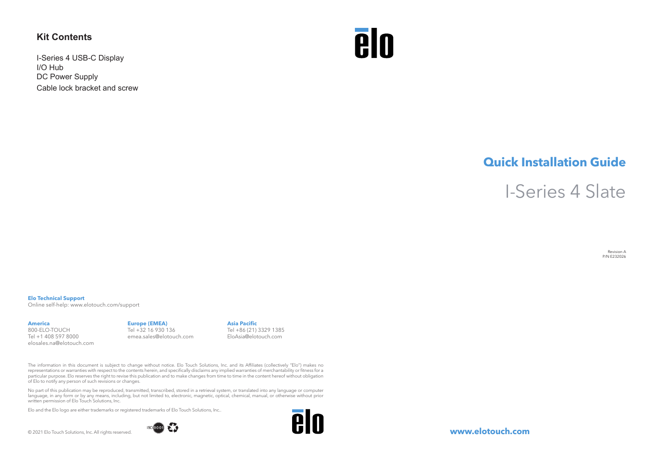# **Kit Contents**

I-Series 4 USB-C Display I/O Hub DC Power Supply Cable lock bracket and screw



# **Quick Installation Guide**

I-Series 4 Slate

Revision A P/N E232026

#### **Elo Technical Support**

Online self-help: www.elotouch.com/support

## **America**

800-ELO-TOUCH Tel +1 408 597 8000 elosales.na@elotouch.com

### **Europe (EMEA)** Tel +32 16 930 136 emea.sales@elotouch.com

**Asia Pacific** Tel +86 (21) 3329 1385 EloAsia@elotouch.com

The information in this document is subject to change without notice. Elo Touch Solutions, Inc. and its Affiliates (collectively "Elo") makes no representations or warranties with respect to the contents herein, and specifically disclaims any implied warranties of merchantability or fitness for a particular purpose. Elo reserves the right to revise this publication and to make changes from time to time in the content hereof without obligation of Elo to notify any person of such revisions or changes.

No part of this publication may be reproduced, transmitted, transcribed, stored in a retrieval system, or translated into any language or computer language, in any form or by any means, including, but not limited to, electronic, magnetic, optical, chemical, manual, or otherwise without prior written permission of Elo Touch Solutions, Inc.

Elo and the Elo logo are either trademarks or registered trademarks of Elo Touch Solutions, Inc..

© 2021 Elo Touch Solutions, Inc. All rights reserved.





**www.elotouch.com**